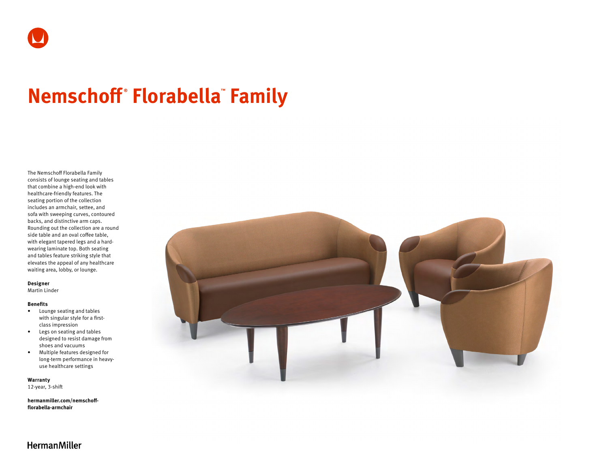# **Nemschoff ® Florabella™ Family**

The Nemschoff Florabella Family consists of lounge seating and tables that combine a high-end look with healthcare-friendly features. The seating portion of the collection includes an armchair, settee, and sofa with sweeping curves, contoured backs, and distinctive arm caps. Rounding out the collection are a round side table and an oval coffee table, with elegant tapered legs and a hardwearing laminate top. Both seating and tables feature striking style that elevates the appeal of any healthcare waiting area, lobby, or lounge.

### **Designer**

Martin Linder

#### **Benefits**

- Lounge seating and tables with singular style for a firstclass impression
- Legs on seating and tables designed to resist damage from shoes and vacuums
- Multiple features designed for long-term performance in heavyuse healthcare settings

**Warranty**  12-year, 3-shift

**[hermanmiller.com/nemschoff](http://hermanmiller.com/nemschoff-florabella-armchair)[florabella-armchair](http://hermanmiller.com/nemschoff-florabella-armchair)**